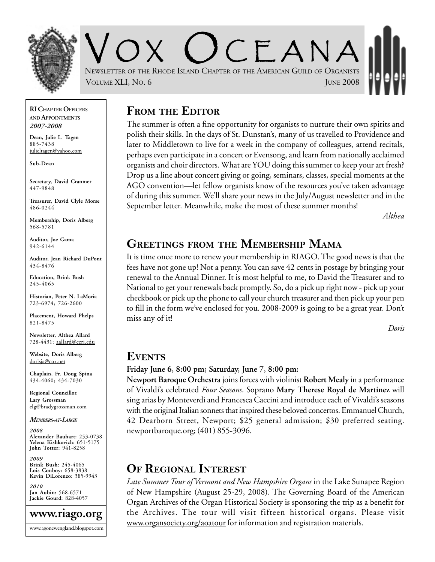

CEANA NEWSLETTER OF THE RHODE ISLAND CHAPTER OF THE AMERICAN GUILD OF ORGANISTS VOLUME XLI, NO. 6 JUNE 2008

#### **RI CHAPTER OFFICERS AND APPOINTMENTS** *2007-2008*

**Dean, Julie L. Tagen** 885-7438 julieltagen@yahoo.com

**Sub-Dean**

**Secretary, David Cranmer** 447-9848

**Treasurer, David Clyle Morse** 486-0244

**Membership, Doris Alberg** 568-5781

**Auditor, Joe Gama** 942-6144

**Auditor, Jean Richard DuPont** 434-8476

**Education, Brink Bush** 245-4065

**Historian, Peter N. LaMoria** 723-6974; 726-2600

**Placement, Howard Phelps** 821-8475

**Newsletter, Althea Allard** 728-4431; aallard@ccri.edu

**Website**, **Doris Alberg** dorisja@cox.net

**Chaplain, Fr. Doug Spina** 434-4060; 434-7030

**Regional Councillor, Lary Grossman** elg@bradygrossman.com

*MEMBERS-AT-LARGE*

*2008* **Alexander Bauhart:** 253-0738 **Yelena Kishkovich:** 651-5175 **John Totter:** 941-8258

*2009* **Brink Bush:** 245-4065 **Lois Conboy:** 658-3838 **Kevin DiLorenzo:** 385-9943

*2010* **Jan Aubin:** 568-6571 **Jackie Gourd:** 828-4057



### **FROM THE EDITOR**

The summer is often a fine opportunity for organists to nurture their own spirits and polish their skills. In the days of St. Dunstan's, many of us travelled to Providence and later to Middletown to live for a week in the company of colleagues, attend recitals, perhaps even participate in a concert or Evensong, and learn from nationally acclaimed organists and choir directors. What are YOU doing this summer to keep your art fresh? Drop us a line about concert giving or going, seminars, classes, special moments at the AGO convention—let fellow organists know of the resources you've taken advantage of during this summer. We'll share your news in the July/August newsletter and in the September letter. Meanwhile, make the most of these summer months!

*Althea*

### **GREETINGS FROM THE MEMBERSHIP MAMA**

It is time once more to renew your membership in RIAGO. The good news is that the fees have not gone up! Not a penny. You can save 42 cents in postage by bringing your renewal to the Annual Dinner. It is most helpful to me, to David the Treasurer and to National to get your renewals back promptly. So, do a pick up right now - pick up your checkbook or pick up the phone to call your church treasurer and then pick up your pen to fill in the form we've enclosed for you. 2008-2009 is going to be a great year. Don't miss any of it!

*Doris*

#### **EVENTS**

#### **Friday June 6, 8:00 pm; Saturday, June 7, 8:00 pm:**

**Newport Baroque Orchestra** joins forces with violinist **Robert Mealy** in a performance of Vivaldi's celebrated *Four Seasons*. Soprano **Mary Therese Royal de Martinez** will sing arias by Monteverdi and Francesca Caccini and introduce each of Vivaldi's seasons with the original Italian sonnets that inspired these beloved concertos. Emmanuel Church, 42 Dearborn Street, Newport; \$25 general admission; \$30 preferred seating. newportbaroque.org; (401) 855-3096.

### **OF REGIONAL INTEREST**

*Late Summer Tour of Vermont and New Hampshire Organs* in the Lake Sunapee Region of New Hampshire (August 25-29, 2008). The Governing Board of the American Organ Archives of the Organ Historical Society is sponsoring the trip as a benefit for the Archives. The tour will visit fifteen historical organs. Please visit www.organsociety.org/aoatour for information and registration materials.